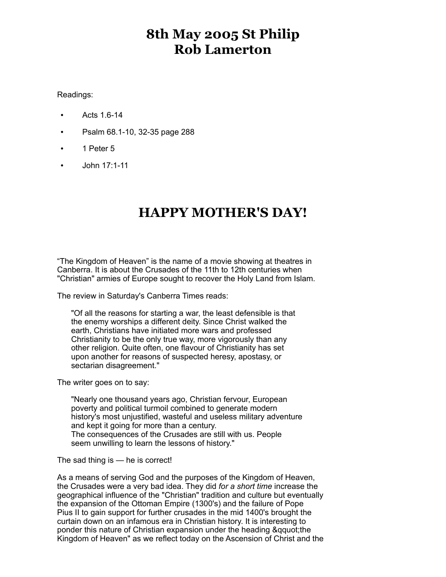## **8th May 2005 St Philip Rob Lamerton**

Readings:

- Acts 1.6-14
- Psalm 68.1-10, 32-35 page 288
- 1 Peter 5
- John 17:1-11

## **HAPPY MOTHER'S DAY!**

"The Kingdom of Heaven" is the name of a movie showing at theatres in Canberra. It is about the Crusades of the 11th to 12th centuries when "Christian" armies of Europe sought to recover the Holy Land from Islam.

The review in Saturday's Canberra Times reads:

"Of all the reasons for starting a war, the least defensible is that the enemy worships a different deity. Since Christ walked the earth, Christians have initiated more wars and professed Christianity to be the only true way, more vigorously than any other religion. Quite often, one flavour of Christianity has set upon another for reasons of suspected heresy, apostasy, or sectarian disagreement."

The writer goes on to say:

"Nearly one thousand years ago, Christian fervour, European poverty and political turmoil combined to generate modern history's most unjustified, wasteful and useless military adventure and kept it going for more than a century. The consequences of the Crusades are still with us. People seem unwilling to learn the lessons of history."

The sad thing is — he is correct!

As a means of serving God and the purposes of the Kingdom of Heaven, the Crusades were a very bad idea. They did *for a short time* increase the geographical influence of the "Christian" tradition and culture but eventually the expansion of the Ottoman Empire (1300's) and the failure of Pope Pius II to gain support for further crusades in the mid 1400's brought the curtain down on an infamous era in Christian history. It is interesting to ponder this nature of Christian expansion under the heading &qquot;the Kingdom of Heaven" as we reflect today on the Ascension of Christ and the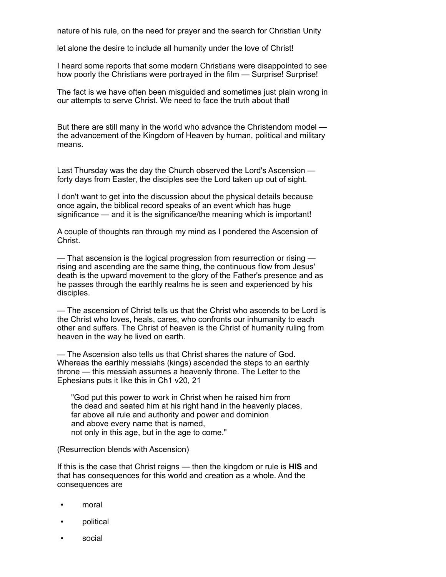nature of his rule, on the need for prayer and the search for Christian Unity

let alone the desire to include all humanity under the love of Christ!

I heard some reports that some modern Christians were disappointed to see how poorly the Christians were portrayed in the film — Surprise! Surprise!

The fact is we have often been misguided and sometimes just plain wrong in our attempts to serve Christ. We need to face the truth about that!

But there are still many in the world who advance the Christendom model the advancement of the Kingdom of Heaven by human, political and military means.

Last Thursday was the day the Church observed the Lord's Ascension forty days from Easter, the disciples see the Lord taken up out of sight.

I don't want to get into the discussion about the physical details because once again, the biblical record speaks of an event which has huge significance — and it is the significance/the meaning which is important!

A couple of thoughts ran through my mind as I pondered the Ascension of Christ.

— That ascension is the logical progression from resurrection or rising rising and ascending are the same thing, the continuous flow from Jesus' death is the upward movement to the glory of the Father's presence and as he passes through the earthly realms he is seen and experienced by his disciples.

— The ascension of Christ tells us that the Christ who ascends to be Lord is the Christ who loves, heals, cares, who confronts our inhumanity to each other and suffers. The Christ of heaven is the Christ of humanity ruling from heaven in the way he lived on earth.

— The Ascension also tells us that Christ shares the nature of God. Whereas the earthly messiahs (kings) ascended the steps to an earthly throne — this messiah assumes a heavenly throne. The Letter to the Ephesians puts it like this in Ch1 v20, 21

"God put this power to work in Christ when he raised him from the dead and seated him at his right hand in the heavenly places, far above all rule and authority and power and dominion and above every name that is named, not only in this age, but in the age to come."

(Resurrection blends with Ascension)

If this is the case that Christ reigns — then the kingdom or rule is **HIS** and that has consequences for this world and creation as a whole. And the consequences are

- moral
- political
- social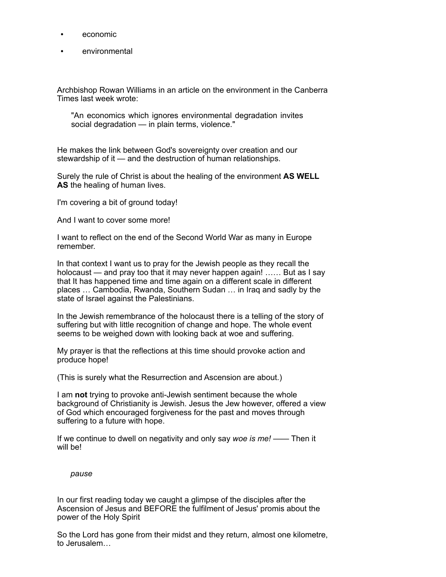- economic
- environmental

Archbishop Rowan Williams in an article on the environment in the Canberra Times last week wrote:

"An economics which ignores environmental degradation invites social degradation — in plain terms, violence."

He makes the link between God's sovereignty over creation and our stewardship of it — and the destruction of human relationships.

Surely the rule of Christ is about the healing of the environment **AS WELL AS** the healing of human lives.

I'm covering a bit of ground today!

And I want to cover some more!

I want to reflect on the end of the Second World War as many in Europe remember.

In that context I want us to pray for the Jewish people as they recall the holocaust — and pray too that it may never happen again! ...... But as I say that It has happened time and time again on a different scale in different places … Cambodia, Rwanda, Southern Sudan … in Iraq and sadly by the state of Israel against the Palestinians.

In the Jewish remembrance of the holocaust there is a telling of the story of suffering but with little recognition of change and hope. The whole event seems to be weighed down with looking back at woe and suffering.

My prayer is that the reflections at this time should provoke action and produce hope!

(This is surely what the Resurrection and Ascension are about.)

I am **not** trying to provoke anti-Jewish sentiment because the whole background of Christianity is Jewish. Jesus the Jew however, offered a view of God which encouraged forgiveness for the past and moves through suffering to a future with hope.

If we continue to dwell on negativity and only say *woe is me!* —— Then it will be!

*pause*

In our first reading today we caught a glimpse of the disciples after the Ascension of Jesus and BEFORE the fulfilment of Jesus' promis about the power of the Holy Spirit

So the Lord has gone from their midst and they return, almost one kilometre, to Jerusalem…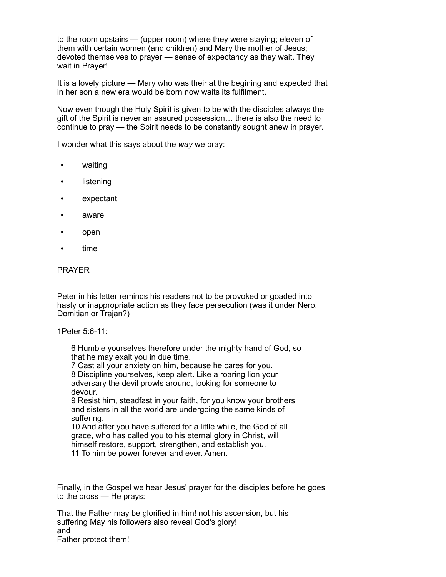to the room upstairs — (upper room) where they were staying; eleven of them with certain women (and children) and Mary the mother of Jesus; devoted themselves to prayer — sense of expectancy as they wait. They wait in Prayer!

It is a lovely picture — Mary who was their at the begining and expected that in her son a new era would be born now waits its fulfilment.

Now even though the Holy Spirit is given to be with the disciples always the gift of the Spirit is never an assured possession… there is also the need to continue to pray — the Spirit needs to be constantly sought anew in prayer.

I wonder what this says about the *way* we pray:

- waiting
- listening
- expectant
- aware
- open
- time

## PRAYER

Peter in his letter reminds his readers not to be provoked or goaded into hasty or inappropriate action as they face persecution (was it under Nero, Domitian or Trajan?)

1Peter 5:6-11:

6 Humble yourselves therefore under the mighty hand of God, so that he may exalt you in due time.

7 Cast all your anxiety on him, because he cares for you. 8 Discipline yourselves, keep alert. Like a roaring lion your adversary the devil prowls around, looking for someone to devour.

9 Resist him, steadfast in your faith, for you know your brothers and sisters in all the world are undergoing the same kinds of suffering.

10 And after you have suffered for a little while, the God of all grace, who has called you to his eternal glory in Christ, will himself restore, support, strengthen, and establish you. 11 To him be power forever and ever. Amen.

Finally, in the Gospel we hear Jesus' prayer for the disciples before he goes to the cross — He prays:

That the Father may be glorified in him! not his ascension, but his suffering May his followers also reveal God's glory! and Father protect them!